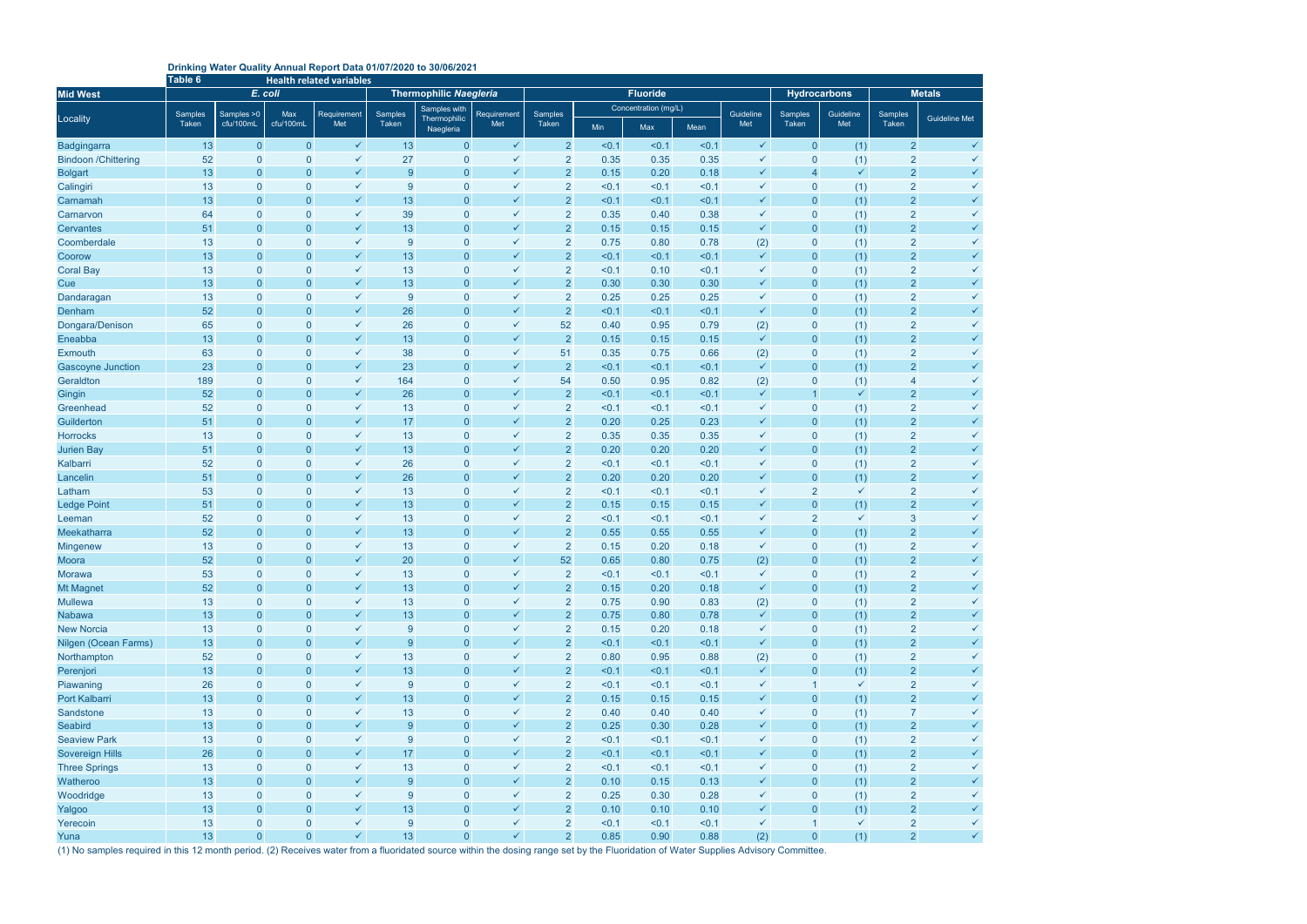## **Drinking Water Quality Annual Report Data 01/07/2020 to 30/06/2021**

|                                 | Table 6                       | <b>Health related variables</b> |                                  |                              |                                |                                  |                              |                                  |                      |                 |              |                     |                                |              |                                  |                              |  |
|---------------------------------|-------------------------------|---------------------------------|----------------------------------|------------------------------|--------------------------------|----------------------------------|------------------------------|----------------------------------|----------------------|-----------------|--------------|---------------------|--------------------------------|--------------|----------------------------------|------------------------------|--|
| <b>Mid West</b>                 |                               |                                 | E. coli                          |                              | <b>Thermophilic Naegleria</b>  |                                  |                              |                                  |                      | <b>Fluoride</b> |              |                     | <b>Hydrocarbons</b>            |              | <b>Metals</b>                    |                              |  |
|                                 | Samples > 0<br><b>Samples</b> |                                 | Max                              | Requirement                  | <b>Samples with</b><br>Samples |                                  | Requirement                  | Samples                          | Concentration (mg/L) |                 |              | Guideline           | <b>Samples</b>                 | Guideline    | Samples                          |                              |  |
| Locality                        | Taken                         | cfu/100mL                       | cfu/100mL                        | Met                          | Taken                          | Thermophilic<br>Naegleria        | Met                          | Taken                            | Min                  | Max             | Mean         | Met                 | Taken                          | Met          | Taken                            | <b>Guideline Met</b>         |  |
| <b>Badgingarra</b>              | 13                            | $\overline{0}$                  | $\overline{0}$                   | $\checkmark$                 | 13                             | $\overline{0}$                   | $\checkmark$                 | $\overline{2}$                   | < 0.1                | < 0.1           | < 0.1        | $\checkmark$        | $\overline{0}$                 | (1)          | $\overline{2}$                   | $\checkmark$                 |  |
| <b>Bindoon /Chittering</b>      | 52                            | $\mathbf{0}$                    | 0                                | $\checkmark$                 | 27                             | $\mathbf 0$                      | $\checkmark$                 | $\overline{2}$                   | 0.35                 | 0.35            | 0.35         | ✓                   | $\mathbf{0}$                   | (1)          | $\overline{2}$                   |                              |  |
| <b>Bolgart</b>                  | 13                            | $\overline{0}$                  | 0                                | $\checkmark$                 | $\overline{9}$                 | $\mathbf 0$                      | $\checkmark$                 | $\overline{2}$                   | 0.15                 | 0.20            | 0.18         | $\checkmark$        | $\overline{4}$                 | $\checkmark$ | $\overline{2}$                   |                              |  |
| Calingiri                       | 13                            | $\overline{0}$                  | $\overline{0}$                   | $\checkmark$                 | 9                              | $\mathbf{0}$                     | $\checkmark$                 | $\overline{2}$                   | < 0.1                | < 0.1           | < 0.1        | $\checkmark$        | $\mathbf 0$                    | (1)          | $\overline{2}$                   | $\checkmark$                 |  |
| Carnamah                        | 13                            | $\overline{0}$                  | $\overline{0}$                   | $\checkmark$                 | 13                             | $\overline{0}$                   | $\checkmark$                 | $\overline{2}$                   | < 0.1                | < 0.1           | < 0.1        | $\checkmark$        | $\overline{0}$                 | (1)          | $\overline{2}$                   | $\checkmark$                 |  |
| Carnarvon                       | 64                            | $\overline{0}$                  | 0                                | $\checkmark$                 | 39                             | $\pmb{0}$                        | $\checkmark$                 | $\overline{2}$                   | 0.35                 | 0.40            | 0.38         | $\checkmark$        | $\mathbf 0$                    | (1)          | $\overline{2}$                   | $\checkmark$                 |  |
| <b>Cervantes</b>                | 51                            | $\overline{0}$                  | $\overline{0}$                   | $\checkmark$                 | 13                             | $\mathbf{0}$                     | $\checkmark$                 | $\overline{2}$                   | 0.15                 | 0.15            | 0.15         | $\checkmark$        | $\overline{0}$                 | (1)          | $\overline{2}$                   | $\checkmark$                 |  |
| Coomberdale                     | 13                            | $\overline{0}$                  | 0                                | $\checkmark$                 | $\overline{9}$                 | $\mathbf{0}$                     | $\checkmark$                 | $\overline{2}$                   | 0.75                 | 0.80            | 0.78         | (2)                 | $\pmb{0}$                      | (1)          | $\overline{2}$                   | $\checkmark$                 |  |
| Coorow                          | 13                            | $\pmb{0}$                       | $\overline{0}$                   | $\checkmark$                 | 13                             | $\bf 0$                          | $\checkmark$                 | $\overline{2}$                   | < 0.1                | < 0.1           | < 0.1        | $\checkmark$        | $\pmb{0}$                      | (1)          | $\overline{2}$                   | $\checkmark$                 |  |
| <b>Coral Bay</b>                | 13                            | $\overline{0}$                  | 0                                | $\checkmark$                 | 13                             | $\pmb{0}$                        | $\checkmark$                 | $\overline{2}$                   | < 0.1                | 0.10            | < 0.1        | $\checkmark$        | $\pmb{0}$                      | (1)          | $\overline{2}$                   |                              |  |
| Cue                             | 13                            | $\overline{0}$                  | $\overline{0}$                   | $\checkmark$                 | 13                             | $\overline{0}$                   | $\checkmark$                 | $\overline{2}$                   | 0.30                 | 0.30            | 0.30         | $\checkmark$        | $\mathbf{0}$                   | (1)          | $\overline{2}$                   |                              |  |
| Dandaragan                      | 13                            | $\mathbf{0}$                    | $\overline{0}$                   | $\checkmark$                 | $\overline{9}$                 | $\mathbf 0$                      | $\checkmark$                 | $\overline{2}$                   | 0.25                 | 0.25            | 0.25         | $\checkmark$        | $\overline{0}$                 | (1)          | $\overline{2}$                   |                              |  |
| Denham                          | 52                            | $\overline{0}$                  | $\overline{0}$                   | $\checkmark$                 | 26                             | $\overline{0}$                   | $\checkmark$                 | $\overline{2}$                   | < 0.1                | < 0.1           | < 0.1        | $\checkmark$        | $\overline{0}$                 | (1)          | $\overline{2}$                   | $\checkmark$                 |  |
| Dongara/Denison                 | 65                            | $\overline{0}$                  | $\overline{0}$                   | $\checkmark$                 | 26                             | $\mathbf{0}$                     | $\checkmark$                 | 52                               | 0.40                 | 0.95            | 0.79         | (2)                 | $\mathbf 0$                    | (1)          | $\overline{2}$                   | $\checkmark$                 |  |
| Eneabba                         | 13                            | $\overline{0}$                  | $\overline{0}$                   | $\checkmark$                 | 13                             | $\overline{0}$                   | $\checkmark$                 | $\overline{2}$                   | 0.15                 | 0.15            | 0.15         | $\checkmark$        | $\overline{0}$                 | (1)          | $\overline{2}$                   | $\checkmark$                 |  |
| <b>Exmouth</b>                  | 63                            | $\overline{0}$                  | 0                                | $\checkmark$                 | 38                             | $\pmb{0}$                        | $\checkmark$                 | 51                               | 0.35                 | 0.75            | 0.66         | (2)                 | $\pmb{0}$                      | (1)          | $\overline{2}$                   | $\checkmark$                 |  |
| <b>Gascoyne Junction</b>        | 23                            | $\overline{0}$                  | $\overline{0}$                   | $\checkmark$                 | 23                             | $\mathbf{0}$                     | $\checkmark$                 | $\overline{2}$                   | < 0.1                | < 0.1           | < 0.1        | $\checkmark$        | $\overline{0}$                 | (1)          | $\overline{2}$                   | $\checkmark$                 |  |
| Geraldton                       | 189                           | $\overline{0}$                  | $\overline{0}$                   | $\checkmark$                 | 164                            | $\pmb{0}$                        | $\checkmark$                 | 54                               | 0.50                 | 0.95            | 0.82         | (2)                 | $\pmb{0}$                      | (1)          | $\overline{4}$                   | $\checkmark$                 |  |
| Gingin                          | 52                            | $\pmb{0}$                       | $\overline{0}$                   | $\checkmark$                 | 26                             | $\pmb{0}$                        | $\checkmark$                 | $\overline{2}$                   | < 0.1                | < 0.1           | < 0.1        | $\checkmark$        |                                | $\checkmark$ | $\overline{2}$                   | $\checkmark$                 |  |
| Greenhead                       | 52                            | $\overline{0}$                  | 0                                | $\checkmark$                 | 13                             | $\pmb{0}$                        | $\checkmark$                 | $\overline{2}$                   | < 0.1                | < 0.1           | < 0.1        | $\checkmark$        | $\mathbf{0}$                   | (1)          | $\overline{2}$                   |                              |  |
| Guilderton                      | 51                            | $\overline{0}$                  | $\overline{0}$                   | $\checkmark$                 | 17                             | $\mathbf 0$                      | $\checkmark$                 | $\overline{2}$                   | 0.20                 | 0.25            | 0.23         | $\checkmark$        | $\overline{0}$                 | (1)          | $\overline{2}$                   |                              |  |
| <b>Horrocks</b>                 | 13                            | $\overline{0}$                  | $\overline{0}$                   | $\checkmark$                 | 13                             | $\overline{0}$                   | $\checkmark$                 | $\overline{2}$                   | 0.35                 | 0.35            | 0.35         | ✓                   | $\overline{0}$                 | (1)          | $\overline{2}$                   |                              |  |
| <b>Jurien Bay</b>               | 51                            | $\overline{0}$                  | $\overline{0}$                   | $\checkmark$                 | 13                             | $\overline{0}$                   | $\checkmark$                 | $\overline{2}$                   | 0.20                 | 0.20            | 0.20         | $\checkmark$        | $\overline{0}$                 | (1)          | $\overline{2}$                   | $\checkmark$                 |  |
| Kalbarri                        | 52                            | $\overline{0}$                  | 0                                | $\checkmark$                 | 26                             | $\mathbf{0}$                     | $\checkmark$                 | $\overline{2}$                   | < 0.1                | < 0.1           | < 0.1        | $\checkmark$        | $\mathbf 0$                    | (1)          | $\overline{2}$                   | $\checkmark$                 |  |
| Lancelin                        | 51                            | $\overline{0}$                  | $\overline{0}$                   | $\checkmark$                 | 26                             | $\overline{0}$                   | $\checkmark$                 | $\overline{2}$                   | 0.20                 | 0.20            | 0.20         | $\checkmark$        | $\overline{0}$                 | (1)          | $\overline{2}$                   | $\checkmark$                 |  |
| Latham                          | 53                            | $\overline{0}$                  | $\overline{0}$                   | $\checkmark$                 | 13                             | $\mathbf{0}$                     | $\checkmark$                 | $\overline{2}$                   | < 0.1                | < 0.1           | < 0.1        | $\checkmark$        | $\overline{2}$                 | $\checkmark$ | $\overline{2}$                   | $\checkmark$                 |  |
| <b>Ledge Point</b>              | 51                            | $\overline{0}$                  | $\overline{0}$                   | $\checkmark$                 | 13                             | $\mathbf{0}$                     | $\checkmark$                 | $\overline{2}$                   | 0.15                 | 0.15            | 0.15         | $\checkmark$        | $\pmb{0}$                      | (1)          | $\overline{2}$                   | $\checkmark$                 |  |
| Leeman                          | 52                            | $\overline{0}$                  | $\overline{0}$                   | $\checkmark$                 | 13                             | $\mathbf{0}$                     | $\checkmark$                 | $\overline{2}$                   | < 0.1                | < 0.1           | < 0.1        | $\checkmark$        | $\overline{2}$                 | $\checkmark$ | 3                                | $\checkmark$                 |  |
| Meekatharra                     | 52                            | $\overline{0}$                  | $\overline{0}$                   | $\checkmark$                 | 13                             | $\bf 0$                          | $\checkmark$                 | $\overline{2}$                   | 0.55                 | 0.55            | 0.55         | $\checkmark$        | $\mathbf{0}$                   | (1)          | $\overline{2}$                   | $\checkmark$                 |  |
| <b>Mingenew</b>                 | 13                            | 0                               | $\overline{0}$                   | $\checkmark$<br>$\checkmark$ | 13                             | $\mathbf 0$                      | $\checkmark$<br>$\checkmark$ | $\overline{2}$                   | 0.15                 | 0.20            | 0.18         | $\checkmark$        | $\mathbf 0$                    | (1)          | $\overline{2}$                   | $\checkmark$                 |  |
| Moora                           | 52                            | $\Omega$                        | $\overline{0}$                   |                              | 20                             | $\overline{0}$                   |                              | 52                               | 0.65                 | 0.80            | 0.75         | (2)                 | $\overline{0}$                 | (1)          | $\overline{2}$                   |                              |  |
| <b>Morawa</b>                   | 53                            | $\bf{0}$                        | $\mathbf 0$                      | $\checkmark$                 | 13                             | $\overline{0}$                   | $\checkmark$<br>$\checkmark$ | $\overline{2}$                   | < 0.1                | < 0.1           | < 0.1        | $\checkmark$        | $\mathbf 0$                    | (1)          | $\overline{2}$                   | $\checkmark$                 |  |
| <b>Mt Magnet</b>                | 52                            | $\pmb{0}$                       | $\pmb{0}$                        | $\checkmark$<br>$\checkmark$ | 13                             | $\overline{0}$                   | $\checkmark$                 | $\overline{2}$                   | 0.15                 | 0.20            | 0.18         | $\checkmark$        | $\overline{0}$                 | (1)          | $\overline{2}$                   | $\checkmark$<br>$\checkmark$ |  |
| <b>Mullewa</b><br><b>Nabawa</b> | 13<br>13                      | $\overline{0}$<br>$\pmb{0}$     | $\overline{0}$<br>$\overline{0}$ | $\checkmark$                 | 13<br>13                       | $\overline{0}$<br>$\overline{0}$ | $\checkmark$                 | $\overline{2}$<br>$\overline{2}$ | 0.75<br>0.75         | 0.90<br>0.80    | 0.83<br>0.78 | (2)<br>$\checkmark$ | $\mathbf{0}$<br>$\overline{0}$ | (1)<br>(1)   | $\overline{2}$<br>$\overline{2}$ | $\checkmark$                 |  |
| <b>New Norcia</b>               | 13                            | $\bf{0}$                        | $\overline{0}$                   | $\checkmark$                 | $\boldsymbol{9}$               | $\mathbf 0$                      | $\checkmark$                 | $\overline{2}$                   | 0.15                 | 0.20            | 0.18         | $\checkmark$        | $\mathbf{0}$                   | (1)          | $\overline{2}$                   | $\checkmark$                 |  |
| <b>Nilgen (Ocean Farms)</b>     | 13                            | $\pmb{0}$                       | $\overline{0}$                   | $\checkmark$                 | $\boldsymbol{9}$               | $\overline{0}$                   | $\checkmark$                 | $\overline{2}$                   | < 0.1                | < 0.1           | < 0.1        | $\checkmark$        | $\pmb{0}$                      | (1)          | $\overline{2}$                   | $\checkmark$                 |  |
| Northampton                     | 52                            | $\pmb{0}$                       | 0                                | $\checkmark$                 | 13                             | $\pmb{0}$                        | $\checkmark$                 | $\overline{2}$                   | 0.80                 | 0.95            | 0.88         | (2)                 | $\mathbf 0$                    | (1)          | $\overline{2}$                   | $\checkmark$                 |  |
| Perenjori                       | 13                            | $\pmb{0}$                       | $\overline{0}$                   | $\checkmark$                 | 13                             | $\pmb{0}$                        | $\checkmark$                 | $\overline{2}$                   | < 0.1                | < 0.1           | < 0.1        | $\checkmark$        | $\mathbf{0}$                   | (1)          | $\overline{2}$                   | $\checkmark$                 |  |
| Piawaning                       | 26                            | $\pmb{0}$                       | $\overline{0}$                   | $\checkmark$                 | $\boldsymbol{9}$               | $\pmb{0}$                        | $\checkmark$                 | $\overline{2}$                   | < 0.1                | < 0.1           | < 0.1        | $\checkmark$        | $\overline{1}$                 | $\checkmark$ | $\overline{2}$                   | $\checkmark$                 |  |
| Port Kalbarri                   | 13                            | $\pmb{0}$                       | $\overline{0}$                   | $\checkmark$                 | 13                             | $\pmb{0}$                        | $\checkmark$                 | $\overline{2}$                   | 0.15                 | 0.15            | 0.15         | $\checkmark$        | $\overline{0}$                 | (1)          | $\overline{2}$                   | $\checkmark$                 |  |
| Sandstone                       | 13                            | $\overline{0}$                  | $\overline{0}$                   | $\checkmark$                 | 13                             | $\mathbf 0$                      | $\checkmark$                 | $\overline{2}$                   | 0.40                 | 0.40            | 0.40         | $\checkmark$        | $\overline{0}$                 | (1)          | $\overline{7}$                   | $\checkmark$                 |  |
| Seabird                         | 13                            | $\overline{0}$                  | $\overline{0}$                   | $\checkmark$                 | $9\,$                          | $\pmb{0}$                        | $\checkmark$                 | $\overline{2}$                   | 0.25                 | 0.30            | 0.28         | $\checkmark$        | $\overline{0}$                 | (1)          | $\overline{2}$                   | $\checkmark$                 |  |
| <b>Seaview Park</b>             | 13                            | $\overline{0}$                  | $\overline{0}$                   | $\checkmark$                 | $\overline{9}$                 | $\mathbf{0}$                     | $\checkmark$                 | $\overline{2}$                   | < 0.1                | < 0.1           | < 0.1        | $\checkmark$        | $\overline{0}$                 | (1)          | $\overline{2}$                   | $\checkmark$                 |  |
| <b>Sovereign Hills</b>          | 26                            | $\pmb{0}$                       | $\pmb{0}$                        | $\checkmark$                 | 17                             | $\overline{0}$                   | $\checkmark$                 | $\overline{2}$                   | < 0.1                | < 0.1           | < 0.1        | $\checkmark$        | $\overline{0}$                 | (1)          | $\overline{2}$                   | $\checkmark$                 |  |
| <b>Three Springs</b>            | 13                            | $\bf{0}$                        | $\overline{0}$                   | $\checkmark$                 | 13                             | $\mathbf 0$                      | $\checkmark$                 | $\overline{2}$                   | < 0.1                | < 0.1           | < 0.1        | $\checkmark$        | $\overline{0}$                 | (1)          | $\overline{2}$                   | $\checkmark$                 |  |
| Watheroo                        | 13                            | $\pmb{0}$                       | $\overline{0}$                   | $\checkmark$                 | $\boldsymbol{9}$               | $\pmb{0}$                        | $\checkmark$                 | $\overline{2}$                   | 0.10                 | 0.15            | 0.13         | $\checkmark$        | $\overline{0}$                 | (1)          | $\overline{2}$                   | $\checkmark$                 |  |
| Woodridge                       | 13                            | $\pmb{0}$                       | $\overline{0}$                   | $\checkmark$                 | $\overline{9}$                 | $\pmb{0}$                        | $\checkmark$                 | $\overline{2}$                   | 0.25                 | 0.30            | 0.28         | $\checkmark$        | $\overline{0}$                 | (1)          | $\overline{2}$                   | $\checkmark$                 |  |
| Yalgoo                          | 13                            | $\pmb{0}$                       | $\overline{0}$                   | $\checkmark$                 | 13                             | $\pmb{0}$                        | $\checkmark$                 | $\overline{2}$                   | 0.10                 | 0.10            | 0.10         | $\checkmark$        | $\pmb{0}$                      | (1)          | $\overline{2}$                   | $\checkmark$                 |  |
| Yerecoin                        | 13                            | $\pmb{0}$                       | $\pmb{0}$                        | $\checkmark$                 | $\overline{9}$                 | $\pmb{0}$                        | $\checkmark$                 | $\overline{2}$                   | < 0.1                | < 0.1           | < 0.1        | $\checkmark$        | $\mathbf{1}$                   | $\checkmark$ | $\overline{2}$                   | $\checkmark$                 |  |
| Yuna                            | 13                            | $\pmb{0}$                       | $\overline{0}$                   | $\checkmark$                 | 13                             | $\overline{0}$                   | $\checkmark$                 | $\overline{2}$                   | 0.85                 | 0.90            | 0.88         | (2)                 | $\overline{0}$                 | (1)          | $\overline{2}$                   | $\checkmark$                 |  |

(1) No samples required in this 12 month period. (2) Receives water from a fluoridated source within the dosing range set by the Fluoridation of Water Supplies Advisory Committee.